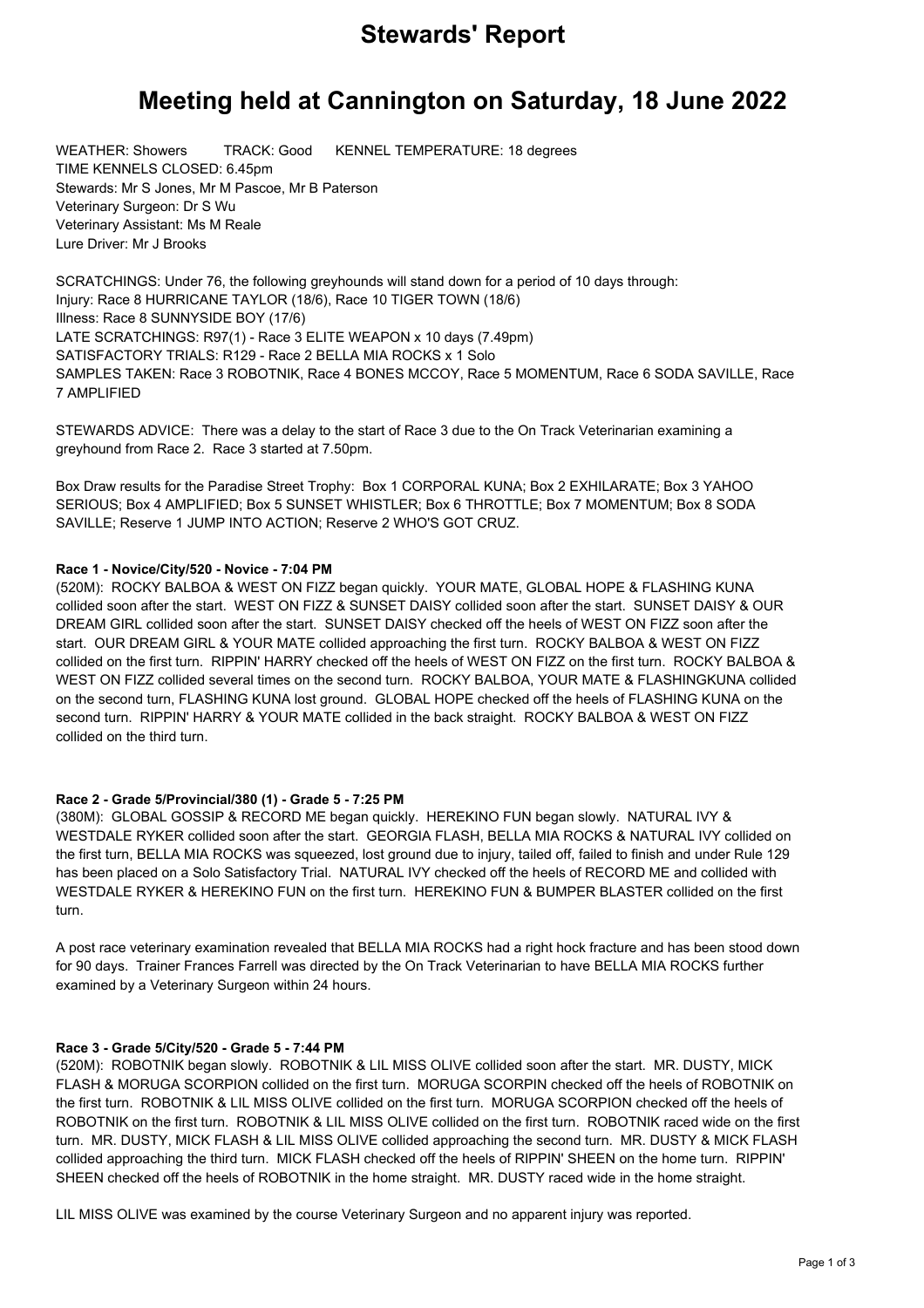# **Stewards' Report**

# **Meeting held at Cannington on Saturday, 18 June 2022**

WEATHER: Showers TRACK: Good KENNEL TEMPERATURE: 18 degrees TIME KENNELS CLOSED: 6.45pm Stewards: Mr S Jones, Mr M Pascoe, Mr B Paterson Veterinary Surgeon: Dr S Wu Veterinary Assistant: Ms M Reale Lure Driver: Mr J Brooks

SCRATCHINGS: Under 76, the following greyhounds will stand down for a period of 10 days through: Injury: Race 8 HURRICANE TAYLOR (18/6), Race 10 TIGER TOWN (18/6) Illness: Race 8 SUNNYSIDE BOY (17/6) LATE SCRATCHINGS: R97(1) - Race 3 ELITE WEAPON x 10 days (7.49pm) SATISFACTORY TRIALS: R129 - Race 2 BELLA MIA ROCKS x 1 Solo SAMPLES TAKEN: Race 3 ROBOTNIK, Race 4 BONES MCCOY, Race 5 MOMENTUM, Race 6 SODA SAVILLE, Race 7 AMPLIFIED

STEWARDS ADVICE: There was a delay to the start of Race 3 due to the On Track Veterinarian examining a greyhound from Race 2. Race 3 started at 7.50pm.

Box Draw results for the Paradise Street Trophy: Box 1 CORPORAL KUNA; Box 2 EXHILARATE; Box 3 YAHOO SERIOUS; Box 4 AMPLIFIED; Box 5 SUNSET WHISTLER; Box 6 THROTTLE; Box 7 MOMENTUM; Box 8 SODA SAVILLE; Reserve 1 JUMP INTO ACTION; Reserve 2 WHO'S GOT CRUZ.

# **Race 1 - Novice/City/520 - Novice - 7:04 PM**

(520M): ROCKY BALBOA & WEST ON FIZZ began quickly. YOUR MATE, GLOBAL HOPE & FLASHING KUNA collided soon after the start. WEST ON FIZZ & SUNSET DAISY collided soon after the start. SUNSET DAISY & OUR DREAM GIRL collided soon after the start. SUNSET DAISY checked off the heels of WEST ON FIZZ soon after the start. OUR DREAM GIRL & YOUR MATE collided approaching the first turn. ROCKY BALBOA & WEST ON FIZZ collided on the first turn. RIPPIN' HARRY checked off the heels of WEST ON FIZZ on the first turn. ROCKY BALBOA & WEST ON FIZZ collided several times on the second turn. ROCKY BALBOA, YOUR MATE & FLASHINGKUNA collided on the second turn, FLASHING KUNA lost ground. GLOBAL HOPE checked off the heels of FLASHING KUNA on the second turn. RIPPIN' HARRY & YOUR MATE collided in the back straight. ROCKY BALBOA & WEST ON FIZZ collided on the third turn.

# **Race 2 - Grade 5/Provincial/380 (1) - Grade 5 - 7:25 PM**

(380M): GLOBAL GOSSIP & RECORD ME began quickly. HEREKINO FUN began slowly. NATURAL IVY & WESTDALE RYKER collided soon after the start. GEORGIA FLASH, BELLA MIA ROCKS & NATURAL IVY collided on the first turn, BELLA MIA ROCKS was squeezed, lost ground due to injury, tailed off, failed to finish and under Rule 129 has been placed on a Solo Satisfactory Trial. NATURAL IVY checked off the heels of RECORD ME and collided with WESTDALE RYKER & HEREKINO FUN on the first turn. HEREKINO FUN & BUMPER BLASTER collided on the first turn.

A post race veterinary examination revealed that BELLA MIA ROCKS had a right hock fracture and has been stood down for 90 days. Trainer Frances Farrell was directed by the On Track Veterinarian to have BELLA MIA ROCKS further examined by a Veterinary Surgeon within 24 hours.

# **Race 3 - Grade 5/City/520 - Grade 5 - 7:44 PM**

(520M): ROBOTNIK began slowly. ROBOTNIK & LIL MISS OLIVE collided soon after the start. MR. DUSTY, MICK FLASH & MORUGA SCORPION collided on the first turn. MORUGA SCORPIN checked off the heels of ROBOTNIK on the first turn. ROBOTNIK & LIL MISS OLIVE collided on the first turn. MORUGA SCORPION checked off the heels of ROBOTNIK on the first turn. ROBOTNIK & LIL MISS OLIVE collided on the first turn. ROBOTNIK raced wide on the first turn. MR. DUSTY, MICK FLASH & LIL MISS OLIVE collided approaching the second turn. MR. DUSTY & MICK FLASH collided approaching the third turn. MICK FLASH checked off the heels of RIPPIN' SHEEN on the home turn. RIPPIN' SHEEN checked off the heels of ROBOTNIK in the home straight. MR. DUSTY raced wide in the home straight.

LIL MISS OLIVE was examined by the course Veterinary Surgeon and no apparent injury was reported.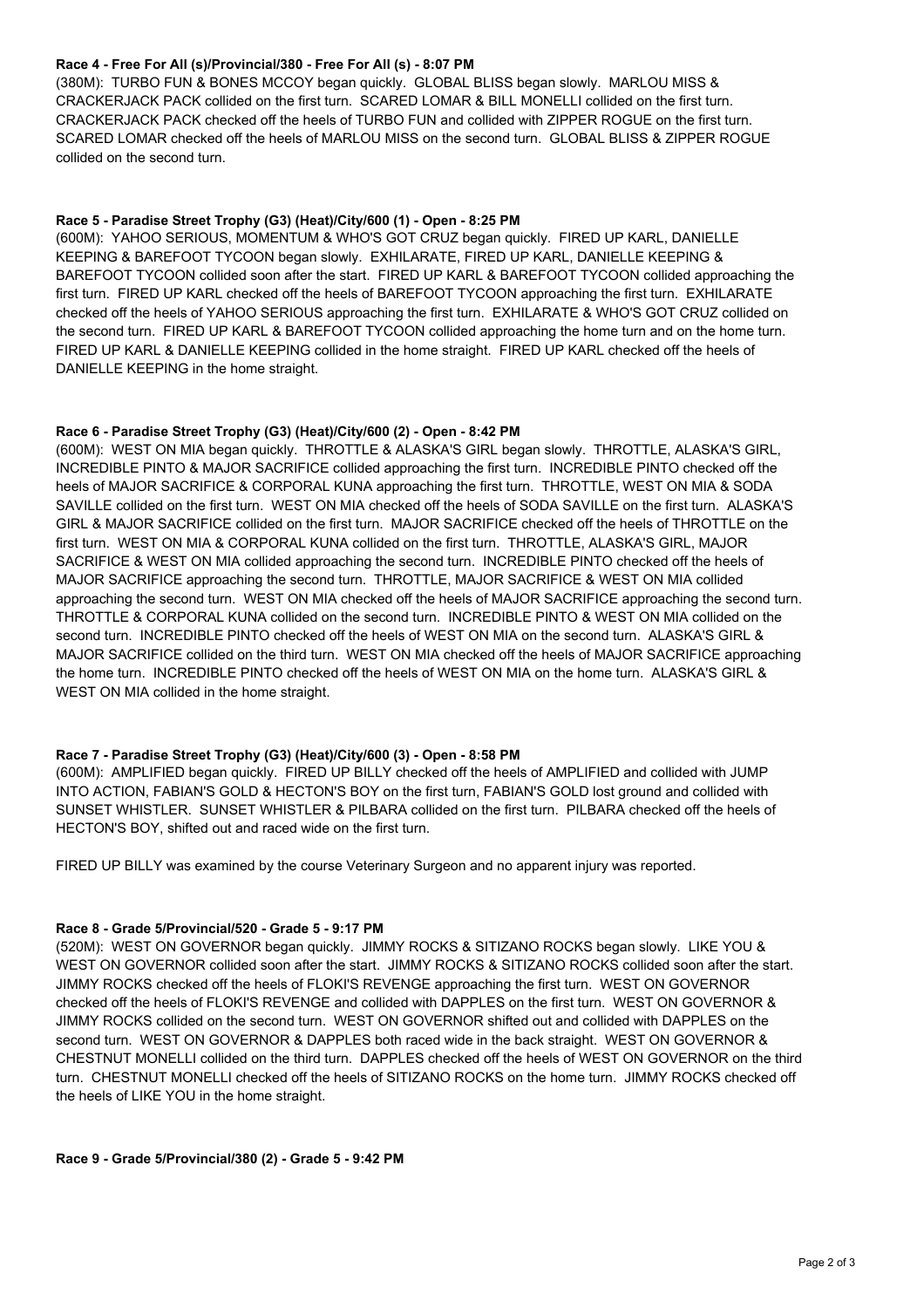# **Race 4 - Free For All (s)/Provincial/380 - Free For All (s) - 8:07 PM**

(380M): TURBO FUN & BONES MCCOY began quickly. GLOBAL BLISS began slowly. MARLOU MISS & CRACKERJACK PACK collided on the first turn. SCARED LOMAR & BILL MONELLI collided on the first turn. CRACKERJACK PACK checked off the heels of TURBO FUN and collided with ZIPPER ROGUE on the first turn. SCARED LOMAR checked off the heels of MARLOU MISS on the second turn. GLOBAL BLISS & ZIPPER ROGUE collided on the second turn.

#### **Race 5 - Paradise Street Trophy (G3) (Heat)/City/600 (1) - Open - 8:25 PM**

(600M): YAHOO SERIOUS, MOMENTUM & WHO'S GOT CRUZ began quickly. FIRED UP KARL, DANIELLE KEEPING & BAREFOOT TYCOON began slowly. EXHILARATE, FIRED UP KARL, DANIELLE KEEPING & BAREFOOT TYCOON collided soon after the start. FIRED UP KARL & BAREFOOT TYCOON collided approaching the first turn. FIRED UP KARL checked off the heels of BAREFOOT TYCOON approaching the first turn. EXHILARATE checked off the heels of YAHOO SERIOUS approaching the first turn. EXHILARATE & WHO'S GOT CRUZ collided on the second turn. FIRED UP KARL & BAREFOOT TYCOON collided approaching the home turn and on the home turn. FIRED UP KARL & DANIELLE KEEPING collided in the home straight. FIRED UP KARL checked off the heels of DANIELLE KEEPING in the home straight.

#### **Race 6 - Paradise Street Trophy (G3) (Heat)/City/600 (2) - Open - 8:42 PM**

(600M): WEST ON MIA began quickly. THROTTLE & ALASKA'S GIRL began slowly. THROTTLE, ALASKA'S GIRL, INCREDIBLE PINTO & MAJOR SACRIFICE collided approaching the first turn. INCREDIBLE PINTO checked off the heels of MAJOR SACRIFICE & CORPORAL KUNA approaching the first turn. THROTTLE, WEST ON MIA & SODA SAVILLE collided on the first turn. WEST ON MIA checked off the heels of SODA SAVILLE on the first turn. ALASKA'S GIRL & MAJOR SACRIFICE collided on the first turn. MAJOR SACRIFICE checked off the heels of THROTTLE on the first turn. WEST ON MIA & CORPORAL KUNA collided on the first turn. THROTTLE, ALASKA'S GIRL, MAJOR SACRIFICE & WEST ON MIA collided approaching the second turn. INCREDIBLE PINTO checked off the heels of MAJOR SACRIFICE approaching the second turn. THROTTLE, MAJOR SACRIFICE & WEST ON MIA collided approaching the second turn. WEST ON MIA checked off the heels of MAJOR SACRIFICE approaching the second turn. THROTTLE & CORPORAL KUNA collided on the second turn. INCREDIBLE PINTO & WEST ON MIA collided on the second turn. INCREDIBLE PINTO checked off the heels of WEST ON MIA on the second turn. ALASKA'S GIRL & MAJOR SACRIFICE collided on the third turn. WEST ON MIA checked off the heels of MAJOR SACRIFICE approaching the home turn. INCREDIBLE PINTO checked off the heels of WEST ON MIA on the home turn. ALASKA'S GIRL & WEST ON MIA collided in the home straight.

#### **Race 7 - Paradise Street Trophy (G3) (Heat)/City/600 (3) - Open - 8:58 PM**

(600M): AMPLIFIED began quickly. FIRED UP BILLY checked off the heels of AMPLIFIED and collided with JUMP INTO ACTION, FABIAN'S GOLD & HECTON'S BOY on the first turn, FABIAN'S GOLD lost ground and collided with SUNSET WHISTLER. SUNSET WHISTLER & PILBARA collided on the first turn. PILBARA checked off the heels of HECTON'S BOY, shifted out and raced wide on the first turn.

FIRED UP BILLY was examined by the course Veterinary Surgeon and no apparent injury was reported.

#### **Race 8 - Grade 5/Provincial/520 - Grade 5 - 9:17 PM**

(520M): WEST ON GOVERNOR began quickly. JIMMY ROCKS & SITIZANO ROCKS began slowly. LIKE YOU & WEST ON GOVERNOR collided soon after the start. JIMMY ROCKS & SITIZANO ROCKS collided soon after the start. JIMMY ROCKS checked off the heels of FLOKI'S REVENGE approaching the first turn. WEST ON GOVERNOR checked off the heels of FLOKI'S REVENGE and collided with DAPPLES on the first turn. WEST ON GOVERNOR & JIMMY ROCKS collided on the second turn. WEST ON GOVERNOR shifted out and collided with DAPPLES on the second turn. WEST ON GOVERNOR & DAPPLES both raced wide in the back straight. WEST ON GOVERNOR & CHESTNUT MONELLI collided on the third turn. DAPPLES checked off the heels of WEST ON GOVERNOR on the third turn. CHESTNUT MONELLI checked off the heels of SITIZANO ROCKS on the home turn. JIMMY ROCKS checked off the heels of LIKE YOU in the home straight.